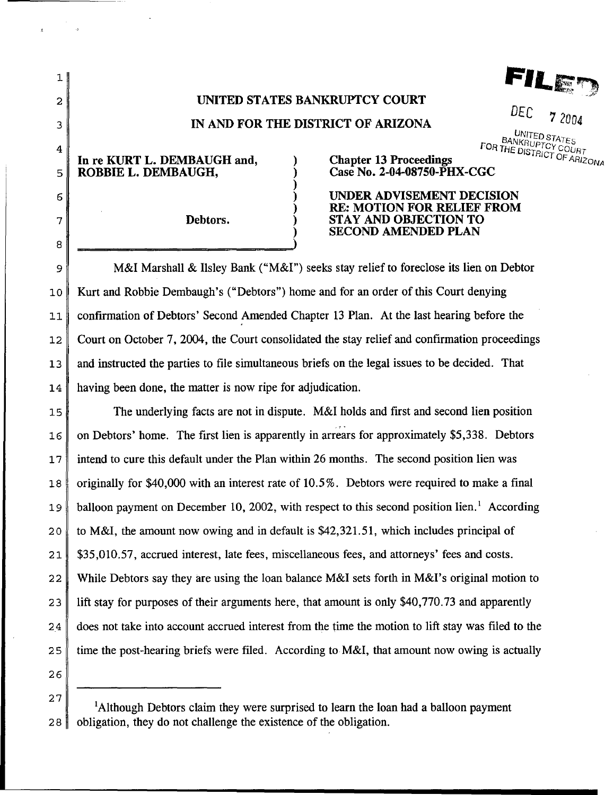FILE

## UNITED STATES BANKRUPTCY COURT

## IN AND FOR THE DISTRICT OF ARIZONA

) ) ) ) ) ) )

*DEC* 7 *<sup>2004</sup>*

 $4 \n\parallel$  FOR THE DISTRICT COURT

In re KURT L. DEMBAUGH and, 5 ROBBIE L. DEMBAUGH,

1

2

3

6

8

7 Debtors.

## Chapter 13 Proceedings  $C_{\text{FARIZON}}$ Case No. 2-04-08750-PHX-CGC

UNDER ADVISEMENT DECISION RE: MOTION FOR RELIEF FROM STAY AND OBJECTION TO SECOND AMENDED PLAN

9 M&I Marshall & Ilsley Bank ("M&I") seeks stay relief to foreclose its lien on Debtor 10 Kurt and Robbie Dembaugh's ("Debtors") home and for an order of this Court denying 11 confirmation of Debtors' Second Amended Chapter 13 Plan. At the last hearing before the  $12$  Court on October 7, 2004, the Court consolidated the stay relief and confirmation proceedings 13 and instructed the parties to file simultaneous briefs on the legal issues to be decided. That 14 having been done, the matter is now ripe for adjudication.

15 The underlying facts are not in dispute. M&I holds and first and second lien position  $16 \parallel$  on Debtors' home. The first lien is apparently in arrears for approximately \$5,338. Debtors 1 7 intend to cure this default under the Plan within 26 months. The second position lien was 18 originally for \$40,000 with an interest rate of 10.5%. Debtors were required to make a final 19 balloon payment on December 10, 2002, with respect to this second position lien.<sup>1</sup> According 20 to M&I, the amount now owing and in default is \$42,321.51, which includes principal of 21 \$35,010.57, accrued interest, late fees, miscellaneous fees, and attorneys' fees and costs. 22 While Debtors say they are using the loan balance M&I sets forth in M&I's original motion to 23 lift stay for purposes of their arguments here, that amount is only \$40,770.73 and apparently 24 does not take into account accrued interest from the time the motion to lift stay was filed to the 25 time the post-hearing briefs were filed. According to M&I, that amount now owing is actually

<sup>28</sup>  <sup>1</sup>Although Debtors claim they were surprised to learn the loan had a balloon payment obligation, they do not challenge the existence of the obligation.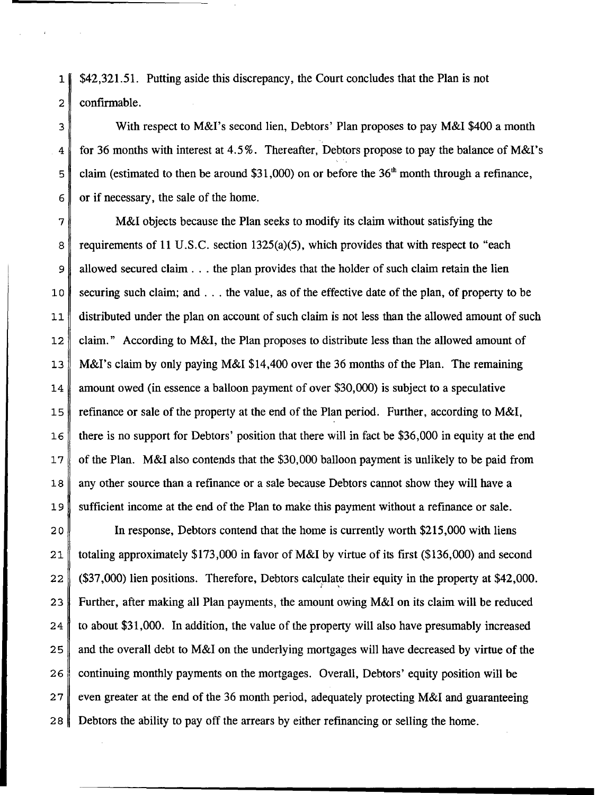1 \$42,321.51. Putting aside this discrepancy, the Court concludes that the Plan is not 2 confirmable.

3 With respect to M&I's second lien, Debtors' Plan proposes to pay M&I \$400 a month 4 for 36 months with interest at 4.5%. Thereafter, Debtors propose to pay the balance of M&I's  $5 \parallel$  claim (estimated to then be around \$31,000) on or before the 36<sup>th</sup> month through a refinance,  $6 \parallel \text{or if necessary, the sale of the home.}$ 

7 M&I objects because the Plan seeks to modify its claim without satisfying the 8 requirements of 11 U.S.C. section 1325(a)(5), which provides that with respect to "each 9 allowed secured claim . . . the plan provides that the holder of such claim retain the lien 10 securing such claim; and ... the value, as of the effective date of the plan, of property to be 11 distributed under the plan on account of such claim is not less than the allowed amount of such 12 claim." According to M&l, the Plan proposes to distribute less than the allowed amount of 13 M&I's claim by only paying M&I \$14,400 over the 36 months of the Plan. The remaining 14 amount owed (in essence a balloon payment of over \$30,000) is subject to a speculative 15 refinance or sale of the property at the end of the Plan period. Further, according to M&I, 16 there is no support for Debtors' position that there will in fact be \$36,000 in equity at the end 17 of the Plan. M&I also contends that the \$30,000 balloon payment is unlikely to be paid from 18 any other source than a refinance or a sale because Debtors cannot show they will have a 19 sufficient income at the end of the Plan to make this payment without a refinance or sale.

20 In response, Debtors contend that the home is currently worth \$215,000 with liens 21 totaling approximately \$173,000 in favor of M&I by virtue of its first (\$136,000) and second 22 (\$37 ,000) lien positions. Therefore, Debtors calculate their equity in the property at \$42,000.  $I = \mathcal{I}$ 23 Further, after making all Plan payments, the amount owing M&I on its claim will be reduced  $24$  to about \$31,000. In addition, the value of the property will also have presumably increased 2 5 and the overall debt to M&I on the underlying mortgages will have decreased by virtue of the 26 continuing monthly payments on the mortgages. Overall, Debtors' equity position will be 27 veen greater at the end of the 36 month period, adequately protecting M&I and guaranteeing 2 8 Debtors the ability to pay off the arrears by either refinancing or selling the home.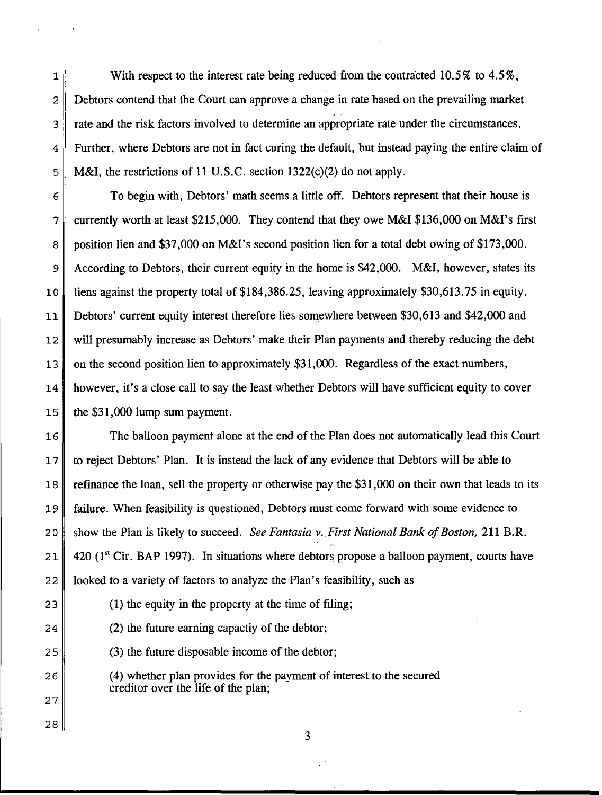1 With respect to the interest rate being reduced from the contracted 10.5% to 4.5%, 2 Debtors contend that the Court can approve a change in rate based on the prevailing market 3 rate and the risk factors involved to determine an appropriate rate under the circumstances. 4 Further, where Debtors are not in fact curing the default, but instead paying the entire claim of 5 M&I, the restrictions of 11 U.S.C. section  $1322(c)(2)$  do not apply.

6 To begin with, Debtors' math seems a little off. Debtors represent that their house is 7 currently worth at least \$215,000. They contend that they owe M&I \$136,000 on M&I's first 8 position lien and \$37,000 on M&I's second position lien for a total debt owing of \$173,000. 9 According to Debtors, their current equity in the home is \$42,000. M&I, however, states its 10 liens against the property total of \$184,386.25, leaving approximately \$30,613.75 in equity. 11 Debtors' current equity interest therefore lies somewhere between \$30,613 and \$42,000 and 12 will presumably increase as Debtors' make their Plan payments and thereby reducing the debt 13 on the second position lien to approximately \$31,000. Regardless of the exact numbers, 14 however, it's a close call to say the least whether Debtors will have sufficient equity to cover  $15$  the \$31,000 lump sum payment.

16 The balloon payment alone at the end of the Plan does not automatically lead this Court 17 to reject Debtors' Plan. It is instead the lack of any evidence that Debtors will be able to 18 refinance the loan, sell the property or otherwise pay the \$31,000 on their own that leads to its 19 failure. When feasibility is questioned, Debtors must come forward with some evidence to 2 0 show the Plan is likely to succeed. *See Fantasia v.,First National Bank of Boston,* 211 B.R. 21  $\parallel$  420 (1<sup>st</sup> Cir. BAP 1997). In situations where debtors propose a balloon payment, courts have  $22$  | looked to a variety of factors to analyze the Plan's feasibility, such as

27

28

23 (1) the equity in the property at the time of filing;

24 (2) the future earning capactive of the debtor;

 $25$  (3) the future disposable income of the debtor;

26 (4) whether plan provides for the payment of interest to the secured creditor over the life of the plan;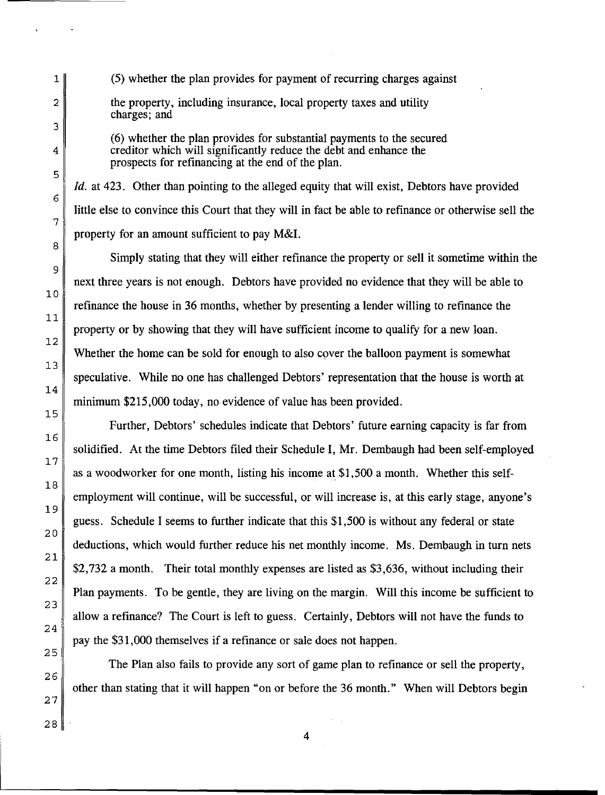1 (5) whether the plan provides for payment of recurring charges against 2 the property, including insurance, local property taxes and utility charges; and

(6) whether the plan provides for substantial payments to the secured 4 creditor which will significantly reduce the debt and enhance the prospects for refinancing at the end of the plan.

*!d.* at 423. Other than pointing to the alleged equity that will exist, Debtors have provided little else to convince this Court that they will in fact be able to refinance or otherwise sell the property for an amount sufficient to pay M&l.

Simply stating that they will either refinance the property or sell it sometime within the next three years is not enough. Debtors have provided no evidence that they will be able to refinance the house in 36 months, whether by presenting a lender willing to refinance the property or by showing that they will have sufficient income to qualify for a new loan. Whether the home can be sold for enough to also cover the balloon payment is somewhat speculative. While no one has challenged Debtors' representation that the house is worth at minimum \$215,000 today, no evidence of value has been provided.

Further, Debtors' schedules indicate that Debtors' future earning capacity is far from solidified. At the time Debtors filed their Schedule I, Mr. Dembaugh had been self-employed as a woodworker for one month, listing his income at \$1,500 a month. Whether this selfemployment will continue, will be successful, or will increase is, at this early stage, anyone's guess. Schedule I seems to further indicate that this \$1,500 is without any federal or state deductions, which would further reduce his net monthly income. Ms. Dembaugh in turn nets \$2,732 a month. Their total monthly expenses are listed as \$3,636, without including their Plan payments. To be gentle, they are living on the margin. Will this income be sufficient to allow a refinance? The Court is left to guess. Certainly, Debtors will not have the funds to pay the \$31,000 themselves if a refinance or sale does not happen.

The Plan also fails to provide any sort of game plan to refinance or sell the property, other than stating that it will happen "on or before the 36 month." When will Debtors begin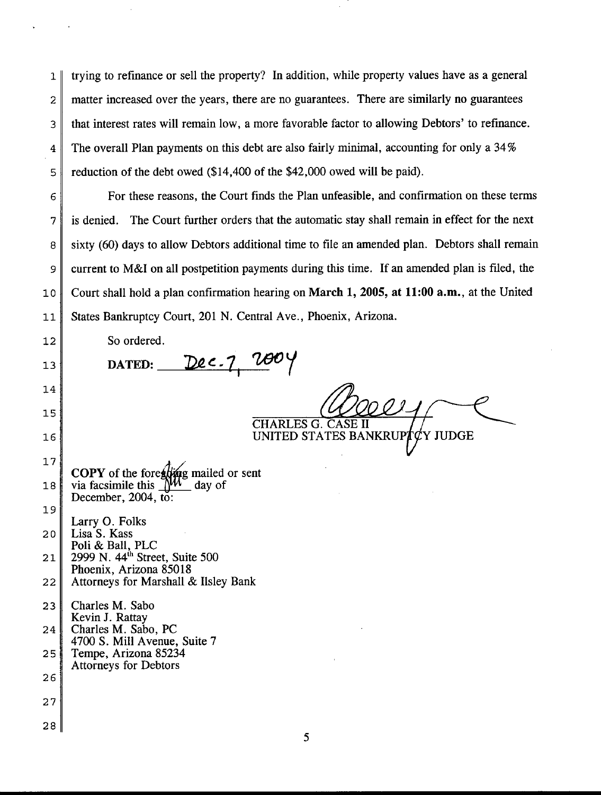1 trying to refinance or sell the property? In addition, while property values have as a general 2 matter increased over the years, there are no guarantees. There are similarly no guarantees 3 that interest rates will remain low, a more favorable factor to allowing Debtors' to refinance. 4 The overall Plan payments on this debt are also fairly minimal, accounting for only a 34% 5 reduction of the debt owed (\$14,400 of the \$42,000 owed will be paid).

6 For these reasons, the Court fmds the Plan unfeasible, and confirmation on these terms 7 is denied. The Court further orders that the automatic stay shall remain in effect for the next 8 sixty (60) days to allow Debtors additional time to file an amended plan. Debtors shall remain 9 current to M&I on all postpetition payments during this time. If an amended plan is filed, the 10 Court shall hold a plan confirmation hearing on **March 1, 2005, at 11:00 a.m.,** at the United 11 States Bankruptcy Court, 201 N. Central Ave., Phoenix, Arizona.

12 So ordered. 13 **DATED:** Dec. 7, 2004 14 15

16

CHARLES G. CASE II UNITED STATES BANKRUP **Y JUDGE** 

17 18 **COPY** of the fore**thing** mailed or sent<br>via facsimile this **MM** day of December, 2004, to:

19 Larry 0. Folks  $20$  Lisa S. Kass Poli & Ball, PLC 21 | 2999 N. 44<sup>th</sup> Street, Suite 500

Phoenix, Arizona 85018 22 Attorneys for Marshall & Ilsley Bank

23 | Charles M. Sabo Kevin J. Rattay 24 Charles M. Sabo, PC 4700 S. Mill Avenue, Suite 7 25 Tempe, Arizona 85234

- Attorneys for Debtors
- 26
- 27
- 28